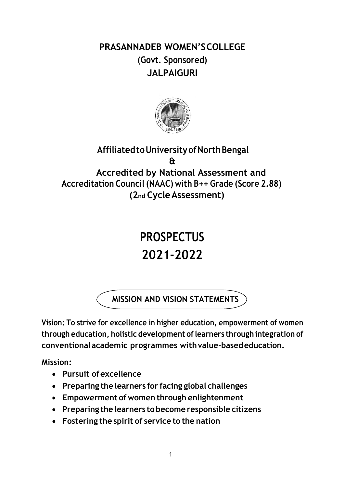**PRASANNADEB WOMEN'SCOLLEGE (Govt. Sponsored) JALPAIGURI**



# **AffiliatedtoUniversityofNorthBengal & Accredited by National Assessment and Accreditation Council (NAAC) with B++ Grade (Score 2.88) (2nd CycleAssessment)**

# **PROSPECTUS 2021‐2022**

**MISSION AND VISION STATEMENTS**

**Vision: To strive for excellence in higher education, empowerment of women through education, holistic development oflearners through integration of conventionalacademic programmes withvalue‐basededucation.**

**Mission:**

- **Pursuit ofexcellence**
- **Preparing the learners for facing global challenges**
- **Empowerment of women through enlightenment**
- **Preparing the learners to become responsible citizens**
- **Fostering the spirit of service to the nation**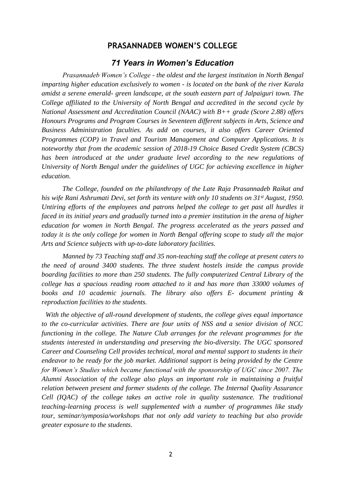### **PRASANNADEB WOMEN'S COLLEGE**

### *71 Years in Women's Education*

*Prasannadeb Women's College - the oldest and the largest institution in North Bengal imparting higher education exclusively to women - is located on the bank of the river Karala amidst a serene emerald- green landscape, at the south eastern part of Jalpaiguri town. The College affiliated to the University of North Bengal and accredited in the second cycle by National Assessment and Accreditation Council (NAAC) with B++ grade (Score 2.88) offers Honours Programs and Program Courses in Seventeen different subjects in Arts, Science and Business Administration faculties. As add on courses, it also offers Career Oriented Programmes (COP) in Travel and Tourism Management and Computer Applications. It is noteworthy that from the academic session of 2018-19 Choice Based Credit System (CBCS)*  has been introduced at the under graduate level according to the new regulations of *University of North Bengal under the guidelines of UGC for achieving excellence in higher education.*

*The College, founded on the philanthropy of the Late Raja Prasannadeb Raikat and his wife Rani Ashrumati Devi, set forth its venture with only 10 students on 31<sup><i>st August, 1950.*</sup> *Untiring efforts of the employees and patrons helped the college to get past all hurdles it faced in its initial years and gradually turned into a premier institution in the arena of higher education for women in North Bengal. The progress accelerated as the years passed and today it is the only college for women in North Bengal offering scope to study all the major Arts and Science subjects with up-to-date laboratory facilities.*

*Manned by 73 Teaching staff and 35 non-teaching staff the college at present caters to the need of around 3400 students. The three student hostels inside the campus provide boarding facilities to more than 250 students. The fully computerized Central Library of the college has a spacious reading room attached to it and has more than 33000 volumes of books and 10 academic journals. The library also offers E- document printing & reproduction facilities to the students.*

*With the objective of all-round development of students, the college gives equal importance to the co-curricular activities. There are four units of NSS and a senior division of NCC functioning in the college. The Nature Club arranges for the relevant programmes for the students interested in understanding and preserving the bio-diversity. The UGC sponsored Career and Counseling Cell provides technical, moral and mental support to students in their endeavor to be ready for the job market. Additional support is being provided by the Centre for Women's Studies which became functional with the sponsorship of UGC since 2007. The Alumni Association of the college also plays an important role in maintaining a fruitful relation between present and former students of the college. The Internal Quality Assurance Cell (IQAC) of the college takes an active role in quality sustenance. The traditional teaching-learning process is well supplemented with a number of programmes like study tour, seminar/symposia/workshops that not only add variety to teaching but also provide greater exposure to the students.*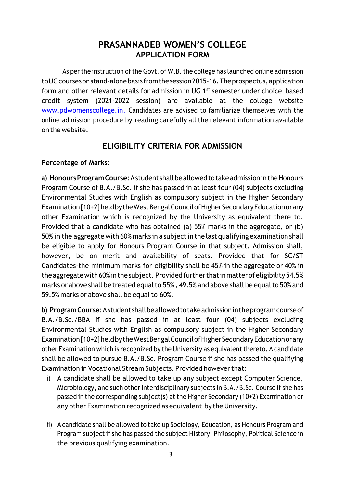# **PRASANNADEB WOMEN'S COLLEGE APPLICATION FORM**

As per the instruction of the Govt. of W.B. the college has launched online admission toUGcoursesonstand‐alonebasis fromthesession2015‐16.Theprospectus,application form and other relevant details for admission in UG 1<sup>st</sup> semester under choice based credit system (2021‐2022 session) are available at the college website [www.pdwomenscollege.in.](http://www.pdwomenscollege.in./) Candidates are advised to familiarize themselves with the online admission procedure by reading carefully all the relevant information available on the website.

# **ELIGIBILITY CRITERIA FOR ADMISSION**

# **Percentage of Marks:**

**a) HonoursProgramCourse**:Astudent shallbeallowedtotakeadmissionintheHonours Program Course of B.A./B.Sc. if she has passed in at least four (04) subjects excluding Environmental Studies with English as compulsory subject in the Higher Secondary Examination[10+2]heldbytheWestBengalCouncilofHigherSecondaryEducationorany other Examination which is recognized by the University as equivalent there to. Provided that a candidate who has obtained (a) 55% marks in the aggregate, or (b) 50% in the aggregate with 60% marks in a subject in the last qualifying examination shall be eligible to apply for Honours Program Course in that subject. Admission shall, however, be on merit and availability of seats. Provided that for SC/ST Candidates‐the minimum marks for eligibility shall be 45% in the aggregate or 40% in the aggregate with 60% in the subject. Provided further that in matter of eligibility 54.5% marks or above shall be treated equal to 55%, 49.5% and above shall be equal to 50% and 59.5% marks or above shall be equal to 60%.

**b) ProgramCourse**:Astudentshallbeallowedtotakeadmissionintheprogramcourseof B.A./B.Sc./BBA if she has passed in at least four (04) subjects excluding Environmental Studies with English as compulsory subject in the Higher Secondary Examination[10+2]heldbytheWestBengalCouncilofHigherSecondaryEducationorany other Examination which is recognized by the University as equivalent thereto. A candidate shall be allowed to pursue B.A./B.Sc. Program Course if she has passed the qualifying Examination in Vocational Stream Subjects. Provided howeverthat:

- i) A candidate shall be allowed to take up any subject except Computer Science, Microbiology, and such other interdisciplinary subjects in B.A./B.Sc. Course if she has passed in the corresponding subject(s) atthe Higher Secondary (10+2) Examination or any other Examination recognized as equivalent by the University.
- ii) A candidate shall be allowed to take up Sociology, Education, as Honours Program and Program subject if she has passed the subject History, Philosophy, Political Science in the previous qualifying examination.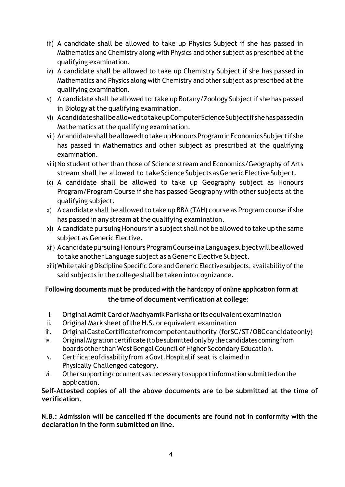- iii) A candidate shall be allowed to take up Physics Subject if she has passed in Mathematics and Chemistry along with Physics and other subject as prescribed at the qualifying examination.
- iv) A candidate shall be allowed to take up Chemistry Subject if she has passed in Mathematics and Physics along with Chemistry and other subject as prescribed at the qualifying examination.
- v) A candidate shall be allowed to take up Botany/Zoology Subjectif she has passed in Biology at the qualifying examination.
- vi) AcandidateshallbeallowedtotakeupComputerScienceSubjectifshehaspassedin Mathematics at the qualifying examination.
- vii) AcandidateshallbeallowedtotakeupHonoursPrograminEconomicsSubjectifshe has passed in Mathematics and other subject as prescribed at the qualifying examination.
- viii) No student other than those of Science stream and Economics/Geography of Arts stream shall be allowed to take Science Subjects as Generic Elective Subject.
- ix) A candidate shall be allowed to take up Geography subject as Honours Program/Program Course if she has passed Geography with other subjects at the qualifying subject.
- x) A candidate shall be allowed to take up BBA (TAH) course as Program course if she has passed in any stream at the qualifying examination.
- xi) A candidate pursuing Honours in a subject shall not be allowed to take up the same subject as Generic Elective.
- xii) AcandidatepursuingHonoursProgramCourseinaLanguagesubjectwillbeallowed to take another Language subject as aGeneric Elective Subject.
- xiii)While taking Discipline Specific Core and Generic Elective subjects, availability ofthe said subjects in the college shall be taken into cognizance.

# **Following documents must be produced with the hardcopy of online application form at the time of document verification at college**:

- i. Original Admit Card of Madhyamik Pariksha or its equivalent examination
- ii. Original Mark sheet of the H.S. or equivalent examination
- iii. OriginalCasteCertificatefromcompetentauthority (forSC/ST/OBCcandidateonly)
- iv. Original Migration certificate (to be submitted only by the candidates coming from boards other than West Bengal Council of Higher Secondary Education.
- v. Certificateofdisabilityfrom aGovt.Hospitalif seat is claimedin Physically Challenged category.
- vi. Other supporting documents as necessary tosupportinformation submitted on the application.

# **Self‐Attested copies of all the above documents are to be submitted at the time of verification**.

**N.B.: Admission will be cancelled if the documents are found not in conformity with the declaration in the form submitted on line.**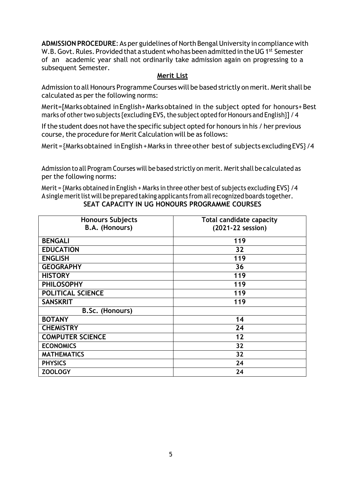ADMISSION PROCEDURE: As per guidelines of North Bengal University in compliance with W.B. Govt. Rules. Provided that a student who has been admitted in the UG 1st Semester of an academic year shall not ordinarily take admission again on progressing to a subsequent Semester.

### **Merit List**

Admission to all Honours Programme Courses will be based strictly on merit. Merit shall be calculated as per the following norms:

Merit=[Marks obtained inEnglish+Marks obtained in the subject opted for honours+Best marks of other two subjects {excluding EVS, the subject opted for Honours and English}] / 4

If the student does not have the specific subject opted for honours in his / her previous course, the procedure for Merit Calculation will be as follows:

Merit={Marksobtained inEnglish+Marks in three other bestof subjects excludingEVS}/4

Admission to all Program Courses will be based strictly on merit. Merit shall be calculated as per the following norms:

Merit = {Marks obtained in English + Marks in three other best of subjects excluding EVS} /4 Asingle merit list will be prepared taking applicants from all recognized boards together. **SEAT CAPACITY IN UG HONOURS PROGRAMME COURSES**

| <b>Honours Subjects</b> | <b>Total candidate capacity</b> |
|-------------------------|---------------------------------|
| B.A. (Honours)          | (2021-22 session)               |
| <b>BENGALI</b>          | 119                             |
| <b>EDUCATION</b>        | 32                              |
| <b>ENGLISH</b>          | 119                             |
| <b>GEOGRAPHY</b>        | 36                              |
| <b>HISTORY</b>          | 119                             |
| <b>PHILOSOPHY</b>       | 119                             |
| POLITICAL SCIENCE       | 119                             |
| <b>SANSKRIT</b>         | 119                             |
| <b>B.Sc. (Honours)</b>  |                                 |
| <b>BOTANY</b>           | 14                              |
| <b>CHEMISTRY</b>        | 24                              |
| <b>COMPUTER SCIENCE</b> | 12                              |
| <b>ECONOMICS</b>        | 32                              |
| <b>MATHEMATICS</b>      | 32                              |
| <b>PHYSICS</b>          | 24                              |
| <b>ZOOLOGY</b>          | 24                              |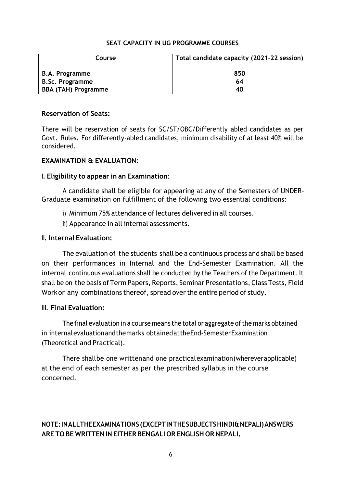#### **SEAT CAPACITY IN UG PROGRAMME COURSES**

| Course                     | Total candidate capacity (2021-22 session) |
|----------------------------|--------------------------------------------|
| <b>B.A. Programme</b>      | 850                                        |
| <b>B.Sc. Programme</b>     | 64                                         |
| <b>BBA (TAH) Programme</b> | 40                                         |

#### **Reservation of Seats:**

There will be reservation of seats for SC/ST/OBC/Differently abled candidates as per Govt. Rules. For differently‐abled candidates, minimum disability of at least 40% will be considered.

#### **EXAMINATION & EVALUATION**:

#### **I. Eligibility to appear in an Examination**:

A candidate shall be eligible for appearing at any of the Semesters of UNDER‐ Graduate examination on fulfillment of the following two essential conditions:

i) Minimum 75% attendance of lectures delivered in all courses.

ii) Appearance in all internal assessments.

#### **II. Internal Evaluation:**

The evaluation of the students shall be a continuous process and shall be based on their performances in Internal and the End‐Semester Examination. All the internal continuous evaluations shall be conducted by the Teachers of the Department. It shall be on the basis of Term Papers, Reports, Seminar Presentations, Class Tests, Field Workor any combinations thereof, spread over the entire period of study.

### **III. Final Evaluation:**

The final evaluation in a course means the total or aggregate of the marks obtained in internalevaluationandthemarks obtainedattheEnd‐SemesterExamination (Theoretical and Practical).

There shallbe one writtenand one practicalexamination(whereverapplicable) at the end of each semester as per the prescribed syllabus in the course concerned.

# **NOTE:INALLTHEEXAMINATIONS (EXCEPTINTHESUBJECTSHINDI&NEPALI)ANSWERS ARE TO BE WRITTEN IN EITHER BENGALI OR ENGLISH OR NEPALI.**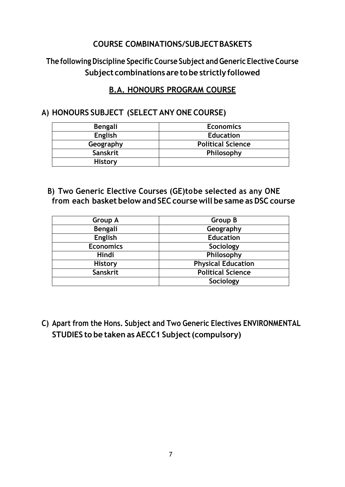# **COURSE COMBINATIONS/SUBJECTBASKETS**

# **The following Discipline SpecificCourse Subject and Generic Elective Course Subject combinations are tobe strictly followed**

# **B.A. HONOURS PROGRAM COURSE**

# **A) HONOURS SUBJECT (SELECT ANY ONE COURSE)**

| <b>Bengali</b>  | <b>Economics</b>         |
|-----------------|--------------------------|
| English         | <b>Education</b>         |
| Geography       | <b>Political Science</b> |
| <b>Sanskrit</b> | Philosophy               |
| <b>History</b>  |                          |

**B) Two Generic Elective Courses (GE)tobe selected as any ONE from each basket below and SEC coursewill be same as DSC course**

| <b>Group A</b>   | Group B                   |
|------------------|---------------------------|
| Bengali          | Geography                 |
| <b>English</b>   | <b>Education</b>          |
| <b>Economics</b> | Sociology                 |
| <b>Hindi</b>     | Philosophy                |
| <b>History</b>   | <b>Physical Education</b> |
| Sanskrit         | <b>Political Science</b>  |
|                  | Sociology                 |

**C) Apart from the Hons. Subject and Two Generic Electives ENVIRONMENTAL STUDIES to be taken as AECC1 Subject(compulsory)**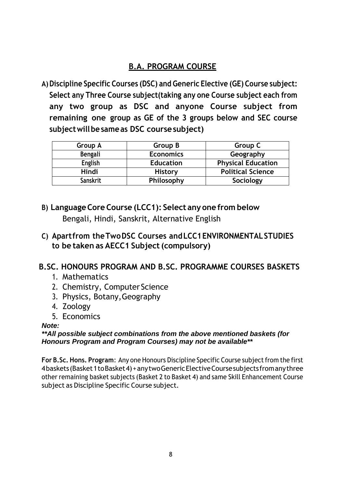# **B.A. PROGRAM COURSE**

**A)Discipline Specific Courses (DSC) and Generic Elective (GE) Course subject: Select any Three Course subject(taking any one Course subject each from any two group as DSC and anyone Course subject from remaining one group as GE of the 3 groups below and SEC course subjectwillbe sameas DSC coursesubject)**

| Group A         | Group B          | Group C                   |
|-----------------|------------------|---------------------------|
| Bengali         | <b>Economics</b> | Geography                 |
| <b>English</b>  | <b>Education</b> | <b>Physical Education</b> |
| Hindi           | <b>History</b>   | <b>Political Science</b>  |
| <b>Sanskrit</b> | Philosophy       | Sociology                 |

- **B) LanguageCore Course (LCC1): Select any one from below** Bengali, Hindi, Sanskrit, Alternative English
- **C) Apartfrom theTwoDSC Courses andLCC1ENVIRONMENTALSTUDIES to be taken as AECC1 Subject(compulsory)**

# **B.SC. HONOURS PROGRAM AND B.SC. PROGRAMME COURSES BASKETS**

- 1. Mathematics
- 2. Chemistry, Computer Science
- 3. Physics, Botany,Geography
- 4. Zoology
- 5. Economics

### *Note:*

### *\*\*All possible subject combinations from the above mentioned baskets (for Honours Program and Program Courses) may not be available\*\**

**For B.Sc. Hons. Program**: Any one Honours Discipline Specific Course subjectfrom the first 4baskets(Basket1toBasket4)+anytwoGenericElectiveCoursesubjects fromanythree other remaining basket subjects (Basket 2 to Basket 4) and same Skill Enhancement Course subject as Discipline Specific Course subject.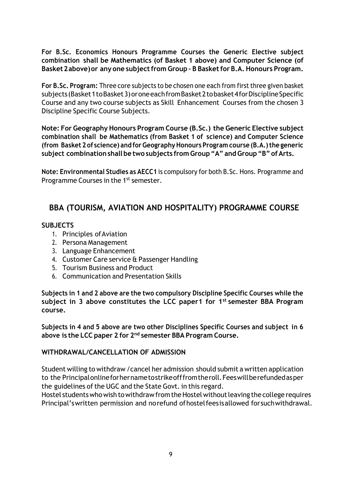**For B.Sc. Economics Honours Programme Courses the Generic Elective subject combination shall be Mathematics (of Basket 1 above) and Computer Science (of Basket2above)or any one subjectfrom Group – B Basketfor B.A. Honours Program.**

**For B.Sc. Program:** Three core subjects to be chosen one each from first three given basket subjects(Basket1toBasket3)oroneeachfromBasket2tobasket4forDisciplineSpecific Course and any two course subjects as Skill Enhancement Courses from the chosen 3 Discipline Specific Course Subjects.

**Note: For Geography Honours Program Course (B.Sc.) the Generic Elective subject combination shall be Mathematics (from Basket 1 of science) and Computer Science (from Basket 2 of science) and forGeographyHonours Program course (B.A.)the generic subject combinationshall be two subjects from Group"A" andGroup"B"ofArts.**

**Note: Environmental Studies as AECC1** is compulsory for both B.Sc. Hons. Programme and Programme Courses in the 1<sup>st</sup> semester.

# **BBA (TOURISM, AVIATION AND HOSPITALITY) PROGRAMME COURSE**

### **SUBJECTS**

- 1. Principles ofAviation
- 2. Persona Management
- 3. Language Enhancement
- 4. Customer Care service & Passenger Handling
- 5. Tourism Business and Product
- 6. Communication and Presentation Skills

**Subjects in 1 and 2 above are the two compulsory Discipline Specific Courses while the subject in 3 above constitutes the LCC paper1 for 1 st semester BBA Program course.**

**Subjects in 4 and 5 above are two other Disciplines Specific Courses and subject in 6 above is the LCC paper 2 for 2 nd semester BBA Program Course.**

### **WITHDRAWAL/CANCELLATION OF ADMISSION**

Student willing to withdraw /cancel her admission should submit a written application to the Principalonlineforhernametostrikeofffromtheroll.Feeswillberefundedasper the guidelines of the UGC and the State Govt. in this regard.

Hostel students who wish to withdraw from the Hostel without leaving the college requires Principal'swritten permission and norefund ofhostelfeesisallowed forsuchwithdrawal.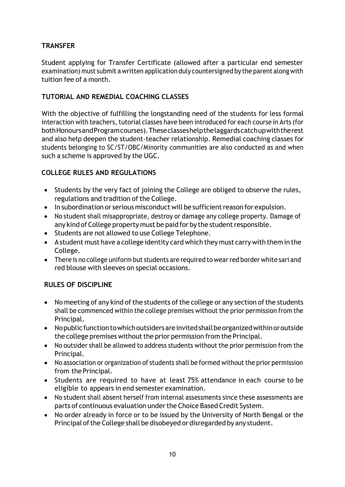# **TRANSFER**

Student applying for Transfer Certificate (allowed after a particular end semester examination) must submit a written application duly countersigned by the parent along with tuition fee of a month.

# **TUTORIAL AND REMEDIAL COACHING CLASSES**

With the objective of fulfilling the longstanding need of the students for less formal interaction with teachers, tutorial classes have been introduced for each course in Arts (for bothHonoursandProgramcourses).Theseclasseshelpthelaggardscatchupwiththerest and also help deepen the student‐teacher relationship. Remedial coaching classes for students belonging to SC/ST/OBC/Minority communities are also conducted as and when such a scheme is approved by the UGC.

# **COLLEGE RULES AND REGULATIONS**

- Students by the very fact of joining the College are obliged to observe the rules, regulations and tradition of the College.
- In subordination or serious misconduct will be sufficient reason for expulsion.
- No student shall misappropriate, destroy or damage any college property. Damage of any kind of College property must be paid for by the student responsible.
- Students are not allowed to use College Telephone.
- A student must have a college identity card which they must carry with them in the College.
- There is no college uniform but students are required to wear red border white sari and red blouse with sleeves on special occasions.

# **RULES OF DISCIPLINE**

- No meeting of any kind of the students of the college or any section of the students shall be commenced within the college premises without the prior permission from the Principal.
- Nopublic function to which outsiders are invited shall be organized within or outside the college premises without the prior permission from the Principal.
- No outsider shall be allowed to address students without the prior permission from the Principal.
- No association or organization of students shall be formed without the prior permission from the Principal.
- Students are required to have at least 75% attendance in each course to be eligible to appears in end semester examination.
- No student shall absent herself from internal assessments since these assessments are parts of continuous evaluation under the Choice Based Credit System.
- No order already in force or to be issued by the University of North Bengal or the Principal of the College shall be disobeyed or disregarded by any student.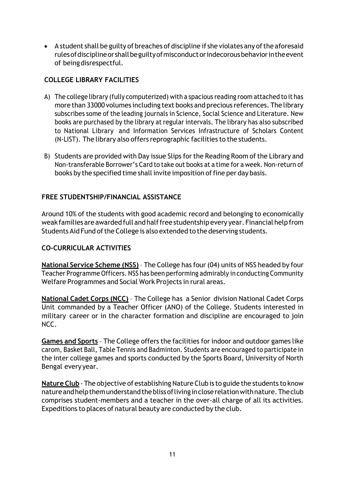• A student shall be guilty of breaches of discipline if she violates any of the aforesaid rulesofdisciplineorshallbeguiltyofmisconductorindecorousbehaviorintheevent of beingdisrespectful.

# **COLLEGE LIBRARY FACILITIES**

- A) The college library (fully computerized) with a spacious reading room attached to it has more than 33000 volumes including text books and precious references. The library subscribes some of the leading journals in Science, Social Science and Literature. New books are purchased by the library at regular intervals. The library has also subscribed to National Library and Information Services Infrastructure of Scholars Content (N‐LIST). The library also offers reprographic facilities to the students.
- B) Students are provided with Day issue Slips for the Reading Room of the Library and Non‐transferable Borrower's Card to take out books at a time for a week. Non‐return of books by the specified time shall invite imposition of fine per day basis.

# **FREE STUDENTSHIP/FINANCIAL ASSISTANCE**

Around 10% of the students with good academic record and belonging to economically weak families are awarded full andhalffreestudentship every year. Financial helpfrom Students Aid Fund of the College is also extended to the deserving students.

# **CO‐CURRICULAR ACTIVITIES**

**National Service Scheme (NSS)** – The College has four(04) units of NSS headed by four Teacher Programme Officers. NSS has been performing admirably in conducting Community Welfare Programmes and Social Work Projects in rural areas.

**National Cadet Corps (NCC)** – The College has a Senior division National Cadet Corps Unit commanded by a Teacher Officer (ANO) of the College. Students interested in military career or in the character formation and discipline are encouraged to join NCC.

**Games and Sports** – The College offers the facilities for indoor and outdoor games like carom, Basket Ball, Table Tennis and Badminton. Students are encouraged to participate in the inter college games and sports conducted by the Sports Board, University of North Bengal every year.

**Nature Club** ‐ The objective of establishing Nature Club is to guide the students to know natureandhelpthemunderstandtheblissoflivingincloserelationwithnature.Theclub comprises student‐members and a teacher in the over‐all charge of all its activities. Expeditions to places of natural beauty are conducted by the club.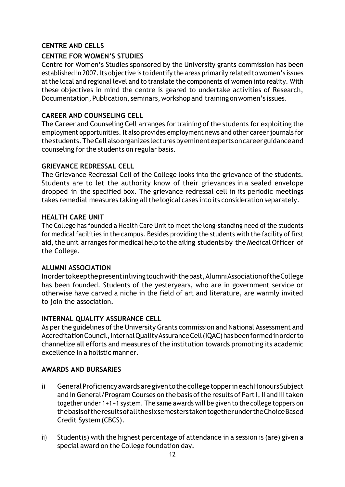# **CENTRE AND CELLS**

### **CENTRE FOR WOMEN'S STUDIES**

Centre for Women's Studies sponsored by the University grants commission has been established in 2007. Its objective is to identify the areas primarily related to women's issues at the local and regional level and to translate the components of women into reality. With these objectives in mind the centre is geared to undertake activities of Research, Documentation, Publication, seminars, workshop and training on women's issues.

### **CAREER AND COUNSELING CELL**

The Career and Counseling Cell arranges for training of the students for exploiting the employment opportunities. It also provides employment news and other career journals for thestudents.TheCellalsoorganizeslecturesbyeminentexpertsoncareerguidanceand counseling for the students on regular basis.

### **GRIEVANCE REDRESSAL CELL**

The Grievance Redressal Cell of the College looks into the grievance of the students. Students are to let the authority know of their grievances in a sealed envelope dropped in the specified box. The grievance redressal cell in its periodic meetings takes remedial measures taking all the logical cases into its consideration separately.

### **HEALTH CARE UNIT**

The College has founded a Health Care Unit to meet the long-standing need of the students for medical facilities in the campus. Besides providing the students with the facility of first aid, the unit arranges for medical help to the ailing students by the Medical Officer of the College.

### **ALUMNI ASSOCIATION**

Inordertokeepthepresentinlivingtouchwiththepast,AlumniAssociationoftheCollege has been founded. Students of the yesteryears, who are in government service or otherwise have carved a niche in the field of art and literature, are warmly invited to join the association.

### **INTERNAL QUALITY ASSURANCE CELL**

As per the guidelines of the University Grants commission and National Assessment and Accreditation Council, Internal Quality Assurance Cell (IQAC) has been formed in order to channelize all efforts and measures of the institution towards promoting its academic excellence in a holistic manner.

### **AWARDS AND BURSARIES**

- i) General Proficiency awards are given to the college topper in each Honours Subject and in General/Program Courses on the basis of the results of Part I, II and III taken together under 1+1+1 system. The same awards will be given to the college toppers on thebasisoftheresultsofallthesixsemesterstakentogetherundertheChoiceBased Credit System(CBCS).
- ii) Student(s) with the highest percentage of attendance in a session is (are) given a special award on the College foundation day.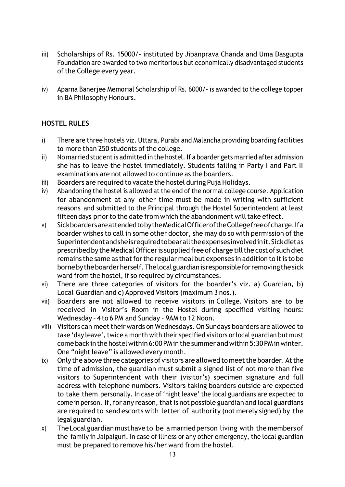- iii) Scholarships of Rs. 15000/- instituted by Jibanprava Chanda and Uma Dasgupta Foundation are awarded to two meritorious but economically disadvantaged students of the College every year.
- iv) Aparna Banerjee Memorial Scholarship of Rs. 6000/‐ is awarded to the college topper in BA Philosophy Honours.

# **HOSTEL RULES**

- i) There are three hostels viz. Uttara, Purabi and Malancha providing boarding facilities to more than 250 students of the college.
- ii) No married student is admitted in the hostel. If a boarder gets married after admission she has to leave the hostel immediately. Students failing in Party I and Part II examinations are not allowed to continue as the boarders.
- iii) Boarders are required to vacate the hostel during Puja Holidays.
- iv) Abandoning the hostel is allowed at the end of the normal college course. Application for abandonment at any other time must be made in writing with sufficient reasons and submitted to the Principal through the Hostel Superintendent at least fifteen days prior to the date from which the abandonment will take effect.
- v) SickboardersareattendedtobytheMedicalOfficeroftheCollegefreeofcharge.Ifa boarder wishes to call in some other doctor, she may do so with permission of the Superintendentandsheisrequiredtobearalltheexpensesinvolvedinit.Sickdietas prescribed by the Medical Officer is supplied free of charge till the cost of such diet remains the same as that for the regular meal but expenses in addition to it is to be bornebytheboarderherself.Thelocalguardianis responsibleforremovingthesick ward from the hostel, if so required by circumstances.
- vi) There are three categories of visitors for the boarder's viz. a) Guardian, b) Local Guardian and c) Approved Visitors (maximum 3 nos.).
- vii) Boarders are not allowed to receive visitors in College. Visitors are to be received in Visitor's Room in the Hostel during specified visiting hours: Wednesday – 4 to 6 PM and Sunday – 9AM to 12 Noon.
- viii) Visitors can meet their wards on Wednesdays. On Sundays boarders are allowed to take 'day leave', twice a month with their specified visitors orlocal guardian but must come back in the hostel within 6:00 PM in the summer and within 5:30 PM in winter. One "night leave" is allowed every month.
- ix) Only the above three categories of visitors are allowed to meet the boarder. At the time of admission, the guardian must submit a signed list of not more than five visitors to Superintendent with their (visitor's) specimen signature and full address with telephone numbers. Visitors taking boarders outside are expected to take them personally. In case of 'night leave' the local guardians are expected to come in person. If, for any reason, that is not possible guardian and local guardians are required to send escorts with letter of authority (not merely signed) by the legal guardian.
- x) TheLocal guardian musthave to be a marriedperson living with the membersof the family in Jalpaiguri. In case of illness or any other emergency, the local guardian must be prepared to remove his/her ward from the hostel.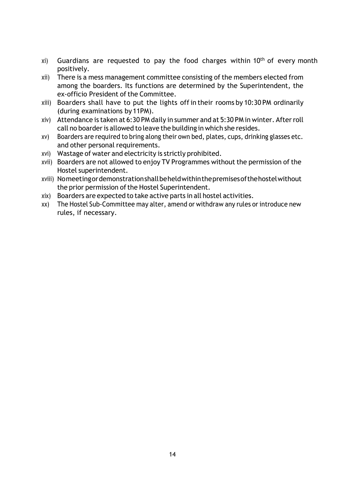- $xi$ ) Guardians are requested to pay the food charges within 10<sup>th</sup> of every month positively.
- xii) There is a mess management committee consisting of the members elected from among the boarders. Its functions are determined by the Superintendent, the ex‐officio President of the Committee.
- xiii) Boarders shall have to put the lights off in their rooms by 10:30 PM ordinarily (during examinations by 11PM).
- xiv) Attendance is taken at 6:30 PM daily in summer and at 5:30 PM in winter. Afterroll call no boarder is allowed to leave the building in which she resides.
- xv) Boarders are required to bring along their own bed, plates, cups, drinking glasses etc. and other personal requirements.
- xvi) Wastage of water and electricity is strictly prohibited.
- xvii) Boarders are not allowed to enjoy TV Programmes without the permission of the Hostel superintendent.
- xviii) Nomeetingordemonstrationshallbeheldwithinthepremisesofthehostelwithout the prior permission of the Hostel Superintendent.
- xix) Boarders are expected to take active parts in all hostel activities.
- xx) The Hostel Sub-Committee may alter, amend or withdraw any rules or introduce new rules, if necessary.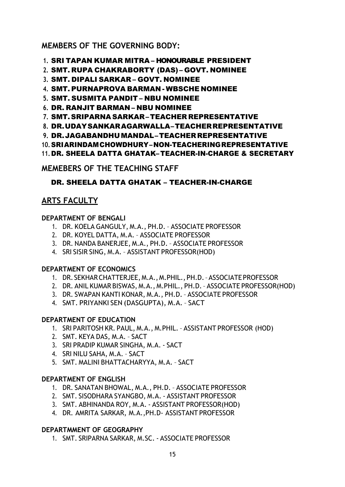# **MEMBERS OF THE GOVERNING BODY:**

- **1.** SRI TAPAN KUMAR MITRA HONOURABLE PRESIDENT
- **2.** SMT. RUPA CHAKRABORTY (DAS) GOVT. NOMINEE
- **3.** SMT. DIPALI SARKAR GOVT. NOMINEE
- **4.** SMT. PURNAPROVA BARMAN WBSCHE NOMINEE
- **5.** SMT. SUSMITA PANDIT NBU NOMINEE
- **6.** DR. RANJIT BARMAN NBU NOMINEE
- **7.** SMT. SRIPARNA SARKAR– TEACHER REPRESENTATIVE
- **8.** DR.UDAYSANKARAGARWALLA–TEACHERREPRESENTATIVE
- **9.** DR.JAGABANDHUMANDAL–TEACHERREPRESENTATIVE
- **10.** SRIARINDAMCHOWDHURY–NON-TEACHERINGREPRESENTATIVE
- **11.** DR. SHEELA DATTA GHATAK– TEACHER-IN-CHARGE & SECRETARY

# **MEMEBERS OF THE TEACHING STAFF**

# DR. SHEELA DATTA GHATAK – TEACHER-IN-CHARGE

# **ARTS FACULTY**

# **DEPARTMENT OF BENGALI**

- 1. DR. KOELA GANGULY, M.A., PH.D. ASSOCIATE PROFESSOR
- 2. DR. KOYEL DATTA, M.A. ASSOCIATE PROFESSOR
- 3. DR. NANDA BANERJEE, M.A., PH.D. ASSOCIATE PROFESSOR
- 4. SRI SISIR SING, M.A. ASSISTANT PROFESSOR(HOD)

# **DEPARTMENT OF ECONOMICS**

- 1. DR. SEKHARCHATTERJEE,M.A.,M.PHIL.,PH.D.–ASSOCIATEPROFESSOR
- 2. DR. ANIL KUMAR BISWAS, M.A., M.PHIL., PH.D.– ASSOCIATE PROFESSOR(HOD)
- 3. DR. SWAPAN KANTI KONAR, M.A., PH.D.– ASSOCIATE PROFESSOR
- 4. SMT. PRIYANKI SEN (DASGUPTA), M.A. SACT

# **DEPARTMENT OF EDUCATION**

- 1. SRI PARITOSH KR. PAUL, M.A., M.PHIL.– ASSISTANT PROFESSOR (HOD)
- 2. SMT. KEYA DAS, M.A. SACT
- 3. SRI PRADIP KUMAR SINGHA, M.A. ‐ SACT
- 4. SRI NILU SAHA, M.A. SACT
- 5. SMT. MALINI BHATTACHARYYA, M.A. SACT

# **DEPARTMENT OF ENGLISH**

- 1. DR. SANATAN BHOWAL, M.A., PH.D. ASSOCIATE PROFESSOR
- 2. SMT. SISODHARA SYANGBO, M.A. ‐ ASSISTANT PROFESSOR
- 3. SMT. ABHINANDA ROY, M.A. ‐ ASSISTANT PROFESSOR(HOD)
- 4. DR. AMRITA SARKAR, M.A.,PH.D- ASSISTANT PROFESSOR

# **DEPARTMMENT OF GEOGRAPHY**

1. SMT. SRIPARNA SARKAR, M.SC. ‐ ASSOCIATE PROFESSOR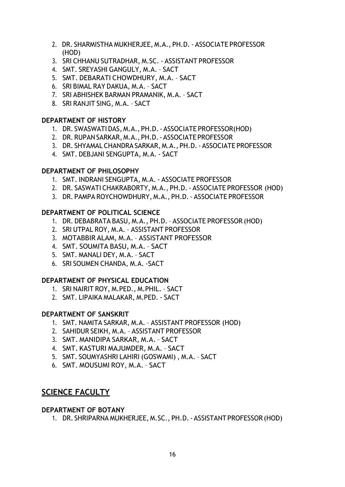- 2. DR. SHARMISTHA MUKHERJEE, M.A., PH.D.‐ ASSOCIATE PROFESSOR (HOD)
- 3. SRI CHHANU SUTRADHAR, M.SC. ‐ ASSISTANT PROFESSOR
- 4. SMT. SREYASHI GANGULY, M.A. SACT
- 5. SMT. DEBARATI CHOWDHURY, M.A. SACT
- 6. SRI BIMAL RAY DAKUA, M.A. SACT
- 7. SRI ABHISHEK BARMAN PRAMANIK, M.A. SACT
- 8. SRI RANJIT SING, M.A. SACT

### **DEPARTMENT OF HISTORY**

- 1. DR. SWASWATI DAS, M.A., PH.D.‐ASSOCIATE PROFESSOR(HOD)
- 2. DR.RUPANSARKAR, M.A.,PH.D.‐ASSOCIATE PROFESSOR
- 3. DR. SHYAMAL CHANDRA SARKAR, M.A., PH.D.‐ ASSOCIATE PROFESSOR
- 4. SMT. DEBJANI SENGUPTA, M.A. ‐ SACT

### **DEPARTMENT OF PHILOSOPHY**

- 1. SMT. INDRANI SENGUPTA, M.A. ‐ ASSOCIATE PROFESSOR
- 2. DR. SASWATI CHAKRABORTY, M.A., PH.D.‐ ASSOCIATE PROFESSOR (HOD)
- 3. DR. PAMPA ROYCHOWDHURY, M.A., PH.D.‐ ASSOCIATE PROFESSOR

### **DEPARTMENT OF POLITICAL SCIENCE**

- 1. DR. DEBABRATA BASU, M.A., PH.D.– ASSOCIATE PROFESSOR (HOD)
- 2. SRI UTPAL ROY, M.A. ASSISTANT PROFESSOR
- 3. MOTABBIR ALAM, M.A. ASSISTANT PROFESSOR
- 4. SMT. SOUMITA BASU, M.A. SACT
- 5. SMT. MANALI DEY, M.A. SACT
- 6. SRI SOUMEN CHANDA, M.A. ‐SACT

### **DEPARTMENT OF PHYSICAL EDUCATION**

- 1. SRI NAIRIT ROY, M.PED., M.PHIL. SACT
- 2. SMT. LIPAIKA MALAKAR, M.PED. ‐ SACT

### **DEPARTMENT OF SANSKRIT**

- 1. SMT. NAMITA SARKAR, M.A. ASSISTANT PROFESSOR (HOD)
- 2. SAHIDUR SEIKH, M.A. ASSISTANT PROFESSOR
- 3. SMT. MANIDIPA SARKAR, M.A. SACT
- 4. SMT. KASTURI MAJUMDER, M.A. SACT
- 5. SMT. SOUMYASHRI LAHIRI (GOSWAMI) , M.A. SACT
- 6. SMT. MOUSUMI ROY, M.A. SACT

# **SCIENCE FACULTY**

### **DEPARTMENT OF BOTANY**

1. DR. SHRIPARNA MUKHERJEE, M.SC., PH.D.‐ ASSISTANT PROFESSOR (HOD)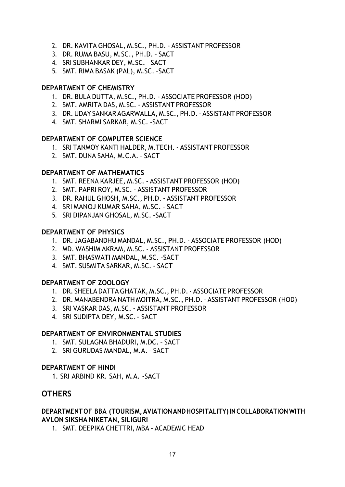- 2. DR. KAVITA GHOSAL, M.SC., PH.D. ‐ ASSISTANT PROFESSOR
- 3. DR. RUMA BASU, M.SC., PH.D. SACT
- 4. SRI SUBHANKAR DEY, M.SC. SACT
- 5. SMT. RIMA BASAK (PAL), M.SC. –SACT

### **DEPARTMENT OF CHEMISTRY**

- 1. DR. BULA DUTTA, M.SC., PH.D. ‐ ASSOCIATE PROFESSOR (HOD)
- 2. SMT. AMRITA DAS, M.SC. ‐ ASSISTANT PROFESSOR
- 3. DR.UDAY SANKAR AGARWALLA, M.SC., PH.D.‐ ASSISTANT PROFESSOR
- 4. SMT. SHARMI SARKAR, M.SC. ‐SACT

#### **DEPARTMENT OF COMPUTER SCIENCE**

- 1. SRI TANMOY KANTI HALDER, M.TECH. ‐ ASSISTANT PROFESSOR
- 2. SMT. DUNA SAHA, M.C.A. SACT

#### **DEPARTMENT OF MATHEMATICS**

- 1. SMT. REENA KARJEE, M.SC. ‐ ASSISTANT PROFESSOR (HOD)
- 2. SMT. PAPRI ROY, M.SC. ‐ ASSISTANT PROFESSOR
- 3. DR. RAHUL GHOSH, M.SC., PH.D. ‐ ASSISTANT PROFESSOR
- 4. SRI MANOJ KUMAR SAHA, M.SC. SACT
- 5. SRI DIPANJAN GHOSAL, M.SC. ‐SACT

### **DEPARTMENT OF PHYSICS**

- 1. DR. JAGABANDHU MANDAL, M.SC., PH.D. ‐ ASSOCIATE PROFESSOR (HOD)
- 2. MD. WASHIM AKRAM, M.SC. ‐ ASSISTANT PROFESSOR
- 3. SMT. BHASWATI MANDAL, M.SC. –SACT
- 4. SMT. SUSMITA SARKAR, M.SC. ‐ SACT

#### **DEPARTMENT OF ZOOLOGY**

- 1. DR. SHEELA DATTAGHATAK, M.SC., PH.D.‐ ASSOCIATE PROFESSOR
- 2. DR. MANABENDRA NATH MOITRA, M.SC., PH.D.‐ ASSISTANT PROFESSOR (HOD)
- 3. SRI VASKAR DAS, M.SC. ‐ ASSISTANT PROFESSOR
- 4. SRI SUDIPTA DEY, M.SC.‐ SACT

### **DEPARTMENT OF ENVIRONMENTAL STUDIES**

- 1. SMT. SULAGNA BHADURI, M.DC. SACT
- 2. SRI GURUDAS MANDAL, M.A. SACT

#### **DEPARTMENT OF HINDI**

1. SRI ARBIND KR. SAH, M.A. ‐SACT

### **OTHERS**

### **DEPARTMENTOF BBA (TOURISM,AVIATIONANDHOSPITALITY)INCOLLABORATIONWITH AVLON SIKSHA NIKETAN, SILIGURI**

1. SMT. DEEPIKA CHETTRI, MBA ‐ ACADEMIC HEAD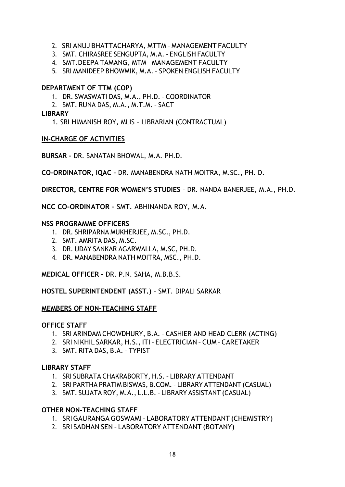- 2. SRI ANUJ BHATTACHARYA, MTTM MANAGEMENT FACULTY
- 3. SMT. CHIRASREE SENGUPTA, M.A. ‐ ENGLISH FACULTY
- 4. SMT.DEEPA TAMANG, MTM MANAGEMENT FACULTY
- 5. SRI MANIDEEP BHOWMIK, M.A. SPOKEN ENGLISH FACULTY

### **DEPARTMENT OF TTM (COP)**

- 1. DR. SWASWATI DAS, M.A., PH.D. COORDINATOR
- 2. SMT. RUNA DAS, M.A., M.T.M. SACT

### **LIBRARY**

1. SRI HIMANISH ROY, MLIS – LIBRARIAN (CONTRACTUAL)

### **IN‐CHARGE OF ACTIVITIES**

**BURSAR –** DR. SANATAN BHOWAL, M.A. PH.D.

**CO‐ORDINATOR, IQAC –** DR. MANABENDRA NATH MOITRA, M.SC., PH. D.

**DIRECTOR, CENTRE FOR WOMEN'S STUDIES** – DR. NANDA BANERJEE, M.A., PH.D.

**NCC CO‐ORDINATOR –** SMT. ABHINANDA ROY, M.A.

### **NSS PROGRAMME OFFICERS**

- 1. DR. SHRIPARNA MUKHERJEE, M.SC., PH.D.
- 2. SMT. AMRITA DAS, M.SC.
- 3. DR. UDAY SANKAR AGARWALLA, M.SC, PH.D.
- 4. DR. MANABENDRA NATH MOITRA, MSC., PH.D.

**MEDICAL OFFICER –** DR. P.N. SAHA, M.B.B.S.

**HOSTEL SUPERINTENDENT (ASST.)** – SMT. DIPALI SARKAR

### **MEMBERS OF NON‐TEACHING STAFF**

### **OFFICE STAFF**

- 1. SRI ARINDAM CHOWDHURY, B.A. CASHIER AND HEAD CLERK (ACTING)
- 2. SRINIKHIL SARKAR, H.S.,ITI– ELECTRICIAN CUM CARETAKER
- 3. SMT. RITA DAS, B.A. TYPIST

### **LIBRARY STAFF**

- 1. SRI SUBRATA CHAKRABORTY, H.S. LIBRARY ATTENDANT
- 2. SRI PARTHA PRATIM BISWAS, B.COM. LIBRARY ATTENDANT (CASUAL)
- 3. SMT. SUJATA ROY, M.A., L.L.B. LIBRARY ASSISTANT (CASUAL)

### **OTHER NON‐TEACHING STAFF**

- 1. SRIGAURANGA GOSWAMI– LABORATORY ATTENDANT (CHEMISTRY)
- 2. SRI SADHAN SEN LABORATORY ATTENDANT (BOTANY)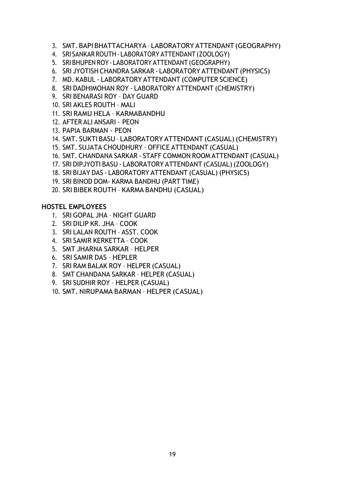- 3. SMT.BAPIBHATTACHARYA– LABORATORY ATTENDANT(GEOGRAPHY)
- 4. SRI SANKARROUTH‐ LABORATORY ATTENDANT(ZOOLOGY)
- 5. SRIBHUPEN ROY‐ LABORATORY ATTENDANT (GEOGRAPHY)
- 6. SRI JYOTISHCHANDRA SARKAR ‐ LABORATORY ATTENDANT (PHYSICS)
- 7. MD. KABUL ‐ LABORATORY ATTENDANT (COMPUTER SCIENCE)
- 8. SRI DADHIMOHAN ROY ‐ LABORATORY ATTENDANT (CHEMISTRY)
- 9. SRI BENARASI ROY DAY GUARD
- 10. SRI AKLES ROUTH MALI
- 11. SRI RAMU HELA KARMABANDHU
- 12. AFTER ALI ANSARI‐ PEON
- 13. PAPIA BARMAN PEON
- 14. SMT. SUKTIBASU– LABORATORY ATTENDANT (CASUAL)(CHEMISTRY)
- 15. SMT. SUJATA CHOUDHURY OFFICE ATTENDANT (CASUAL)
- 16. SMT. CHANDANA SARKAR ‐ STAFF COMMON ROOM ATTENDANT (CASUAL)
- 17. SRI DIPJYOTI BASU ‐ LABORATORY ATTENDANT (CASUAL)(ZOOLOGY)
- 18. SRI BIJAY DAS ‐ LABORATORY ATTENDANT (CASUAL) (PHYSICS)
- 19. SRI BINOD DOM‐ KARMA BANDHU (PART TIME)
- 20. SRI BIBEK ROUTH KARMA BANDHU (CASUAL)

### **HOSTEL EMPLOYEES**

- 1. SRI GOPAL JHA NIGHT GUARD
- 2. SRI DILIP KR. JHA COOK
- 3. SRI LALAN ROUTH ASST. COOK
- 4. SRI SAMIR KERKETTA COOK
- 5. SMT JHARNA SARKAR HELPER
- 6. SRI SAMIR DAS HEPLER
- 7. SRI RAM BALAK ROY HELPER (CASUAL)
- 8. SMT CHANDANA SARKAR HELPER (CASUAL)
- 9. SRI SUDHIR ROY HELPER (CASUAL)
- 10. SMT. NIRUPAMA BARMAN HELPER (CASUAL)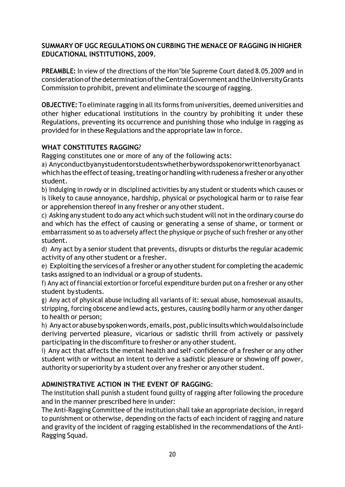### **SUMMARY OF UGC REGULATIONS ON CURBING THE MENACE OF RAGGING IN HIGHER EDUCATIONAL INSTITUTIONS,2009.**

**PREAMBLE:** In view of the directions of the Hon'ble Supreme Court dated 8.05.2009 and in considerationofthedeterminationoftheCentralGovernmentandtheUniversityGrants Commission to prohibit, prevent and eliminate the scourge ofragging.

**OBJECTIVE:** To eliminate ragging in all its forms from universities, deemed universities and other higher educational institutions in the country by prohibiting it under these Regulations, preventing its occurrence and punishing those who indulge in ragging as provided for in these Regulations and the appropriate law in force.

# **WHAT CONSTITUTES RAGGING**?

Ragging constitutes one or more of any of the following acts:

a) Anyconductbyanystudentorstudentswhetherbywordsspokenorwrittenorbyanact which has the effect of teasing, treating or handling with rudeness a fresher or any other student.

b) Indulging in rowdy or in disciplined activities by any student or students which causes or is likely to cause annoyance, hardship, physical or psychological harm or to raise fear or apprehension thereof in any fresher or any other student.

c) Asking any student to do any act which such student will not in the ordinary course do and which has the effect of causing or generating a sense of shame, or torment or embarrassment so as to adversely affect the physique or psyche of such fresher or any other student.

d) Any act by a senior student that prevents, disrupts or disturbs the regular academic activity of any other student or a fresher.

e) Exploiting the services of a fresher or any other student for completing the academic tasks assigned to an individual or a group of students.

f) Any act of financial extortion or forceful expenditure burden put on a fresher or any other student by students.

g) Any act of physical abuse including all variants of it: sexual abuse, homosexual assaults, stripping, forcing obscene and lewd acts, gestures, causing bodily harm or any other danger to health or person;

h) Anyactorabusebyspokenwords,emails,post,publicinsultswhichwouldalsoinclude deriving perverted pleasure, vicarious or sadistic thrill from actively or passively participating in the discomfiture to fresher or any other student.

i) Any act that affects the mental health and self‐confidence of a fresher or any other student with or without an intent to derive a sadistic pleasure or showing off power, authority or superiority by a student over any fresher or any other student.

# **ADMINISTRATIVE ACTION IN THE EVENT OF RAGGING**:

The institution shall punish a student found guilty of ragging after following the procedure and in the manner prescribed here in under:

The Anti‐Ragging Committee of the institution shall take an appropriate decision, in regard to punishment or otherwise, depending on the facts of each incident of ragging and nature and gravity of the incident of ragging established in the recommendations of the Anti‐ Ragging Squad.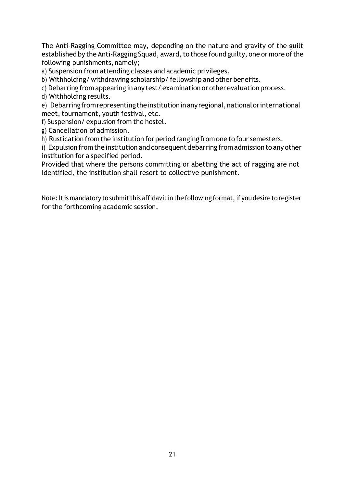The Anti-Ragging Committee may, depending on the nature and gravity of the guilt established by the Anti-Ragging Squad, award, to those found guilty, one or more of the following punishments, namely;

a) Suspension from attending classes and academic privileges.

b) Withholding/ withdrawing scholarship/ fellowship and other benefits.

c) Debarring from appearing in any test/ examination or otherevaluation process.

d) Withholding results.

e) Debarring from representing the institution in any regional, national or international meet, tournament, youth festival, etc.

f) Suspension/ expulsion from the hostel.

g) Cancellation ofadmission.

h) Rustication from the institution for period ranging from one to four semesters.

i) Expulsion from the institution and consequent debarring from admission to any other institution for a specified period.

Provided that where the persons committing or abetting the act of ragging are not identified, the institution shall resort to collective punishment.

Note: It is mandatory to submit this affidavit in the following format, if you desire to register for the forthcoming academic session.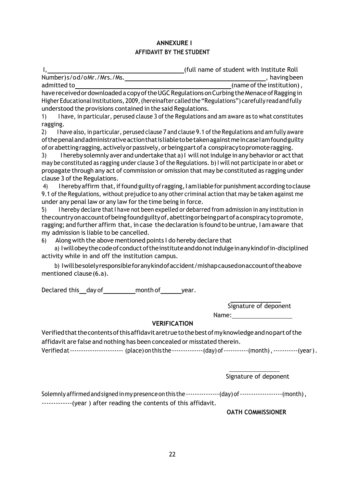### **ANNEXURE I AFFIDAVIT BY THE STUDENT**

|                           | (full name of student with Institute Roll) |
|---------------------------|--------------------------------------------|
| Number)s/od/oMr./Mrs./Ms. | having been                                |

admitted to  $\frac{1}{\sqrt{1-\frac{1}{\sqrt{1-\frac{1}{\sqrt{1-\frac{1}{\sqrt{1-\frac{1}{\sqrt{1-\frac{1}{\sqrt{1-\frac{1}{\sqrt{1-\frac{1}{\sqrt{1-\frac{1}{\sqrt{1-\frac{1}{\sqrt{1-\frac{1}{\sqrt{1-\frac{1}{\sqrt{1-\frac{1}{\sqrt{1-\frac{1}{\sqrt{1-\frac{1}{\sqrt{1-\frac{1}{\sqrt{1-\frac{1}{\sqrt{1-\frac{1}{\sqrt{1-\frac{1}{\sqrt{1-\frac{1}{\sqrt{1-\frac{1}{\sqrt{1-\frac{1}{\sqrt{1-\frac{1}{\sqrt{1-\frac$ have received or downloaded a copy of the UGC Regulations on Curbing the Menace of Ragging in Higher EducationalInstitutions, 2009,(hereinafter calledthe"Regulations") carefully readandfully understood the provisions contained in the said Regulations.

1) I have, in particular, perused clause 3 ofthe Regulations and am aware as to what constitutes ragging.

2) I have also, in particular, perused clause 7 and clause 9.1 of the Regulations and am fully aware of the penal and administrative action that is liable to be taken against me incase I am found guilty of or abetting ragging, actively or passively, or being part of a conspiracy to promote ragging.

3) I hereby solemnly aver and undertake that a) I will not indulge in any behavior or act that may be constituted as ragging under clause 3 of the Regulations. b) I will not participate in or abet or propagate through any act of commission or omission that may be constituted as ragging under clause 3 of the Regulations.

4) I hereby affirm that, if found guilty of ragging, I am liable for punishment according to clause 9.1 of the Regulations, without prejudice to any other criminal action that may be taken against me under any penal law or any law for the time being in force.

5) I hereby declare thatI have not been expelled or debarred from admission in any institution in thecountryonaccountofbeingfoundguiltyof,abettingorbeingpartofaconspiracytopromote, ragging; and further affirm that, in case the declaration is found to be untrue, I am aware that my admission is liable to be cancelled.

6) Along with the above mentioned points I do hereby declare that

a) Iwillobeythecodeofconductoftheinstituteanddonotindulgeinanykindofin‐disciplined activity while in and off the institution campus.

b) Iwillbesolelyresponsibleforanykindofaccident/mishapcausedonaccountoftheabove mentioned clause(6.a).

Declared this day of month of year.

Signature of deponent

Name:

### **VERIFICATION**

Verifiedthatthecontentsofthisaffidavitaretruetothebestofmyknowledgeandnopartofthe affidavit are false and nothing has been concealed or misstated therein. Verified at ---------------------------- (place) on this the ---------------(day) of ------------(month), -----------(year).

Signature of deponent

Solemnly affirmed and signed in my presence on this the  $\cdots \cdots \cdots \cdots$  (day) of  $\cdots \cdots \cdots \cdots \cdots \cdots$  (month), ‐‐‐‐‐‐‐‐‐‐‐‐‐(year ) after reading the contents of this affidavit.

**OATH COMMISSIONER**